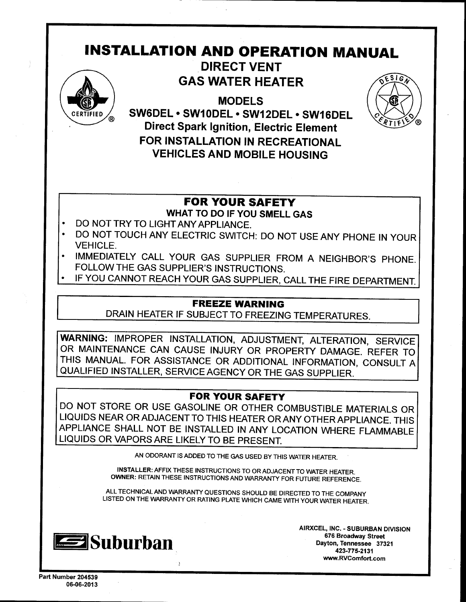# **INSTALLATION AND OPERATION MANUAL**



**DIRECT VENT GAS WATER HEATER** 

**MODELS** SW6DEL · SW10DEL · SW12DEL · SW16DEL **Direct Spark Ignition, Electric Element** FOR INSTALLATION IN RECREATIONAL **VEHICLES AND MOBILE HOUSING** 



# **FOR YOUR SAFETY**

WHAT TO DO IF YOU SMELL GAS

- DO NOT TRY TO LIGHT ANY APPLIANCE.
- DO NOT TOUCH ANY ELECTRIC SWITCH: DO NOT USE ANY PHONE IN YOUR **VEHICLE.**
- IMMEDIATELY CALL YOUR GAS SUPPLIER FROM A NEIGHBOR'S PHONE. FOLLOW THE GAS SUPPLIER'S INSTRUCTIONS.
- IF YOU CANNOT REACH YOUR GAS SUPPLIER, CALL THE FIRE DEPARTMENT.

# **FREEZE WARNING**

DRAIN HEATER IF SUBJECT TO FREEZING TEMPERATURES.

WARNING: IMPROPER INSTALLATION, ADJUSTMENT, ALTERATION, SERVICE OR MAINTENANCE CAN CAUSE INJURY OR PROPERTY DAMAGE. REFER TO THIS MANUAL. FOR ASSISTANCE OR ADDITIONAL INFORMATION, CONSULT A QUALIFIED INSTALLER, SERVICE AGENCY OR THE GAS SUPPLIER.

# **FOR YOUR SAFETY**

DO NOT STORE OR USE GASOLINE OR OTHER COMBUSTIBLE MATERIALS OR LIQUIDS NEAR OR ADJACENT TO THIS HEATER OR ANY OTHER APPLIANCE. THIS APPLIANCE SHALL NOT BE INSTALLED IN ANY LOCATION WHERE FLAMMABLE LIQUIDS OR VAPORS ARE LIKELY TO BE PRESENT.

AN ODORANT IS ADDED TO THE GAS USED BY THIS WATER HEATER.

INSTALLER: AFFIX THESE INSTRUCTIONS TO OR ADJACENT TO WATER HEATER. OWNER: RETAIN THESE INSTRUCTIONS AND WARRANTY FOR FUTURE REFERENCE.

ALL TECHNICAL AND WARRANTY QUESTIONS SHOULD BE DIRECTED TO THE COMPANY LISTED ON THE WARRANTY OR RATING PLATE WHICH CAME WITH YOUR WATER HEATER.

 $\overline{\mathbf{3}}$ 



AIRXCEL, INC. - SUBURBAN DIVISION 676 Broadway Street Dayton, Tennessee 37321 423-775-2131 www.RVComfort.com

Part Number 204539 06-06-2013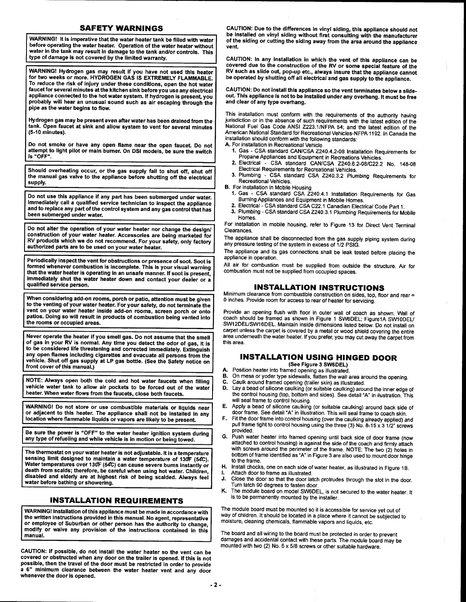#### **SAFETY WARNINGS**

WARNING! It is imperative that the water heater tank be filled with water before operating the water heater. Operation of the water heater without water in the tank may result in damage to the tank and/or controls. This type of damage is not covered by the limited warranty.

WARNINGI Hydrogen gas may resutt if you have not used this heater for two weeks or more. HYDROGEN GAS IS EXTREMELY FLAMMABLE. To reduce the risk of injury under these conditions, open the hot water faucet for several minutes atthe kitchen sink before you use any electrical appliance connected to the hot water system. If hydrogen is present, you probably will hear an unusual sound such as air escaping through the pipe as the water begins to flow.

Hydrogen gas may be present even after water has been drained from the tank. Open faucet at sink and allow system to vent for several minutes (5-10 minutes).

Do not smoke or have any open flame near the open faucet Do not attempt to light pilot or main bumer. On DSI models, be sure the switch is "OFF".

Should overheating occur, or the gas supply fail to shut off, shut off the manual gas valve to the appliance before shutting off the electrical supply.

Do not use this appliance if any part has been submerged under water. lmmediately call a qualified service technician to inspect the appliance and to replace any part of the control system and any gas control that has been submerged under water.

Do not alter the operation of your water heater nor change the design/ construction of your water heater. Accessories are being marketed for RV products which we do not recommend. For your safety, only factory authorized parts are to be used on your water heater.

Periodically inspect the vent for obstructions or presence of soot. Soot is formed whenever combustion is incomplete. This is your visual warning that the water heater is operating in an unsafe manner. lf soot is present, immediately shut the water heater down and contact your dealer or a qualified service person.

When considering add-on rooms, porch or patio, attention must be given to the venting of your water heater. For your safety, do not terminate the vent on your water heater inside add-on rooms, screen porch or onto patios. Doing so will result in products of combustion being vented into the rooms or occupied areas.

Never operate the heater if you smell gas. Do not assume that the smell of gas in your RV is normal. Any time you detect the odor of gas, it is to be considered life threatening and corected immediately. Extinguish any open flames including cigarettes and evacuate all persons from the vehicle. Shut off gas supply at LP gas botfle. (See the Safety notice on front cover of this manual.)

NOTE: Always open both the cold and hot water faucets when filling vehicle water tank to allow air pockets to be forced out of the water heater. When water flows from the faucets, close both faucets.

WARNINGI Do not store or use combustible materials or liquids near or adjacent to this heater. The appliance shall not be installed in any location where flammable liquids or vapors are likely to be present.

Be sure the power is "OFF" to the water heater ignition system during any type of refueling and while vehicle is in motion or being towed.

The thermostat on your water heater is not adjustable. lt is a temperature sensing limit designed to maintain a water temperature of 130F (54C). Water temperatures over 130F (54C) can cause severe burns instantly or death from scalds; therefore, be careful when using hot water. Childien, disabled and elderly are at highest risk of being scalded. Always feei water before bathing or showering.

### INSTALLATION REQUIREMENTS

WARNINGI lnstallation of this appliance must be made in accordance with the written instructions provided in this manual. No agent, representative or employee of Suburban or other person has the authority to change, modify or waive any provision of the instructions contained in this manual.

CAUTION: lf possible, do not install the water heater so the vent can be covered or obstructed when any door on the trailer is opened. lf this is not possible, then the travel of the door must be restricted in order to provide a 6" minimum clearance between the water heater vent and any door whenever the door is opened.

CAUTION: Due to the differences in vinyl siding, this appliance shoutd not be installed on vinyl siding without first consulting with the manufacturer of the siding or cutting the siding away from the area around the appliance vent.

CAUTION: ln any installation in which the vent of this appliance can be covered due to the construction of the RV or some speciai feature of the RV such as slide out, pop-up etc., always insure that the appliance cannot be operated by shutting off all electrical and gas supply to the appliance.

CAUTION: Do not install this appliance so the vent terminates below a stideout. This appliance is not to be installed under any overhang. It must be free and clear of any type overhang.

This installation must conform with the requirements of the authority having jurisdiction or in the absence of such requirements with the latest edition of the National Fuel Gas Code ANSI 2223.1/NFPA 54; and the latest edition of the American National Standard for Recreational Vehicles-NFPA 1192. In Canada the installation should conform with the following standards:

A. For installation in Recreational Vehicle

- 1. Gas CSA standard CAN/CSA Z240.4.2-08 Installation Requirements for Propane Appliances and Equipment in Recreations Vehicles.
- 2. Electrical CSA standard CAN/CSA 2240.6.2-OB\C22.2 No. 148-08 Electrical Requirements for Recreational Vehicles.
- 3. Plumbing CSA standard CSA 2240.3.2 plumbing Requirements for Recreational Vehicles.

- B. For installation in Mobile Housing 1. Gas CSA standard CSA 2240.4.1 lnstallation Requirements for Gas
	- Burning Appliances and Equipment in Mobile Homes. 2. Electrical CSA standard CSA C22.1 Canadian Etectricat Code part 1.
- 3. Plumbing CSA standard CSA 2240.3.1 plumbing Requirements for Mobile Homes.

For installation in mobile housing, refer to Figure 13 for Direct Vent Terminal Clearances.

The appliance shall be disconnected from the gas supply piping system during any pressure testing of the system in excess of 1/2 PSIG.

The appliance and its gas connections shall be leak tested before placing the appliance in operation.

All air for combustion must be supplied from outside the structure. Air for combustion must not be supplied from occupied spaces.

#### INSTALLATION INSTRUCTIONS

Minimum clearance from combustible construction on sides, top, floor and rear = 0 inches. Provide room for access to rear of heater for servicing.

Provide an opening flush with floor in outer wall of coach as shown. Wall of coach should be framed as shown in Figure 1 SW6DEL; Figure1A SW10DEL/ SW12DEUSW16DEL. Maintain inside dimensions listed below. Do not install on carpet unless the carpet is covered by a metal or wood shield covering the entire area underneath the water heater. If you prefer, you may cut away the carpet from this area.

# INSTALLATION USING HINGED DOOR

- (See Figure 3 SW6DEL) Position heater into framed opening as illustrated. On mesa or yoder type sidewalls, flatten the wall area around the opening. B.
- c.
- Caulk around framed opening (trailer skin) as illustrated. Lay a bead of silicone caulking (or suitable caulking) around the inner edge of the control housing (top, bottom and sides). See detail "A" in ilustration. This<br>will seal frame to control housing. D.
- E. Apply a bead of silicone caulking (or suitable caulking) around back side of door frame. See detail "A' in illustration. This will seal frame to coach skin.
- F. Fit the door frame into control housing (over the caulking already applied) and pull frame tight to control housing using the three (3) No. 8-15 x 3  $1/2$ " screws provided.
- G. Push water heater into framed opening until back side of door frame (now attached to control housing) is against the side of the coach and firmly attach with screws around the perimeter of the frame. NOTE: The two (2) holes in bottom of frame identified as "A" in Figure 3 are also used to mount door hinge to the frame.
- H. lnstall chocks, one on each side ofwater heater, as illustrated in Figure 18. t. Attach door to frame as illustrated.
- J. Close the door so that the door latch protrudes through the slot in the door.<br>Turn latch 90 degrees to fasten door.
- K. The module board on model SW6DEL, is not secured to the water heater. It is to be permanently mounted by the installer.

The module board must be mounted so it is accessible for service yet out of way of children. It should be located in a place where it cannot be subjected to moisture, cleaning chemicals, flammable vapors and liquids, etc.

The board and all wiring to the board must be protected in order to prevent damages and accidental contact with these parts. The module board may be mounted with two (2) No. 6 x 5/8 screws or other suitable hardware.

A.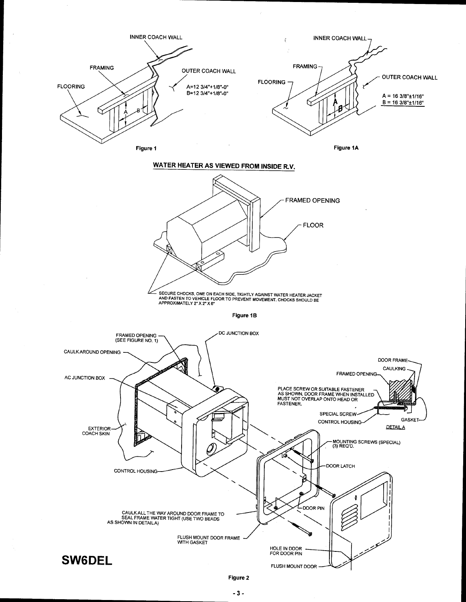

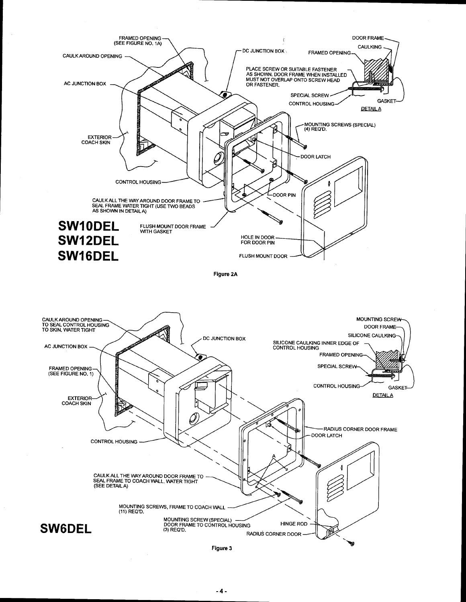



Figure 3

 $\epsilon$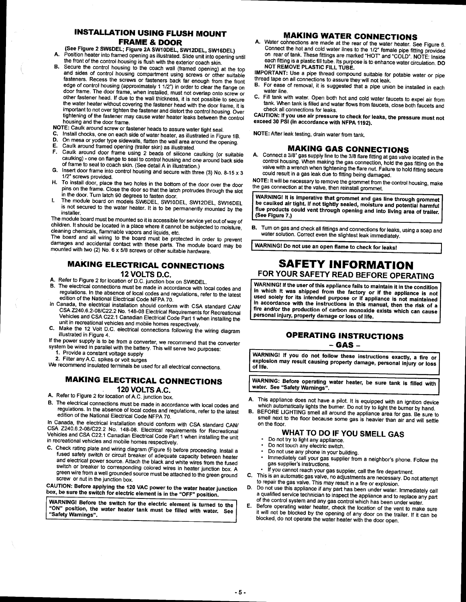### **INSTALLATION USING FLUSH MOUNT FRAME & DOOR**

(See Figure 2 SW6DEL; Figure 2A SW10DEL, SW12DEL, SW16DEL)

- Position heater into framed opening as illustrated. Slide unit into opening until A.
- the front of the control housing is flush with the exterior coach skin. **B.**
- Secure the control housing to the coach wall (framed opening) at the top and sides of control housing compartment using screws or other suitable fasteners. Recess the screws or fasteners back far enough from the front edge of control housing (approximately 1 1/2") in order to clear the flange on door frame. The door frame, when installed, must not overlap onto screw or other fastener head. If due to the wall thickness, it is not possible to secure the water heater without covering the fastener head with the door frame, it is important to not over tighten the fastener and distort the control housing. Over tightening of the fastener may cause water heater leaks between the control housing and the door frame.
- NOTE: Caulk around screw or fastener heads to assure water tight seal.
- Install chocks, one on each side of water heater, as illustrated in Figure 1B. C.
- On mesa or yoder type sidewalls, flatten the wall area around the opening. D.
- Е Caulk around framed opening (trailer skin) as illustrated.
- Caulk around door frame using 2 beads of silicone caulking (or suitable F. caulking) - one on flange to seal to control housing and one around back side of frame to seal to coach skin. (See detail A in illustration.)
- Insert door frame into control housing and secure with three (3) No. 8-15  $\times$  3 G. 1/2" screws provided.
- To install door, place the two holes in the bottom of the door over the door н. pins on the frame. Close the door so that the latch protrudes through the slot in the door. Turn latch 90 degrees to fasten door.
- The module board on models SW6DEL, SW10DEL, SW12DEL, SW16DEL I. is not secured to the water heater. It is to be permanently mounted by the installer.

The module board must be mounted so it is accessible for service yet out of way of children. It should be located in a place where it cannot be subjected to moisture, cleaning chemicals, flammable vapors and liquids, etc.

The board and all wiring to the board must be protected in order to prevent damages and accidental contact with these parts. The module board may be mounted with two (2) No.  $6 \times 5/8$  screws or other suitable hardware.

#### **MAKING ELECTRICAL CONNECTIONS** 12 VOLTS D.C.

- A. Refer to Figure 2 for location of D.C. junction box on SW6DEL.
- The electrical connections must be made in accordance with local codes and В. regulations. In the absence of local codes and regulations, refer to the latest edition of the National Electrical Code NFPA 70.
- In Canada, the electrical installation should conform with CSA standard CAN/ CSA Z240.6.2-08/C22.2 No. 148-08 Electrical Requirements for Recreational Vehicles and CSA C22.1 Canadian Electrical Code Part 1 when installing the unit in recreational vehicles and mobile homes respectively.
- Make the 12 Volt D.C. electrical connections following the wiring diagram C. illustrated in Figure 4.

If the power supply is to be from a converter, we recommend that the converter system be wired in parallel with the battery. This will serve two purposes:

- 1. Provide a constant voltage supply
- 2. Filter any A.C. spikes or volt surges

We recommend insulated terminals be used for all electrical connections.

### **MAKING ELECTRICAL CONNECTIONS** 120 VOLTS A.C.

A. Refer to Figure 2 for location of A.C. junction box.

B. The electrical connections must be made in accordance with local codes and regulations. In the absence of local codes and regulations, refer to the latest edition of the National Electrical Code NFPA 70.

In Canada, the electrical installation should conform with CSA standard CAN/ CSA Z240.6.2-08/C22.2 No. 148-08. Electrical requirements for Recreational Vehicles and CSA C22.1 Canadian Electrical Code Part 1 when installing the unit in recreational vehicles and mobile homes respectively.

C. Check rating plate and wiring diagram (Figure 5) before proceeding. Install a fused safety switch or circuit breaker of adequate capacity between heater and electrical power source. Attach the black and white wires from the fused switch or breaker to corresponding colored wires in heater junction box. A green wire from a well grounded source must be attached to the green ground screw or nut in the junction box.

CAUTION: Before applying the 120 VAC power to the water heater junction box, be sure the switch for electric element is in the "OFF" position.

WARNING! Before the switch for the electric element is turned to the "ON" position, the water heater tank must be filled with water. See "Safety Warnings".

#### **MAKING WATER CONNECTIONS**

A. Water connections are made at the rear of the water heater. See Figure 6. Connect the hot and cold water lines to the 1/2" female pipe fitting provided on rear of tank. These fittings are marked "HOT" and "COLD". NOTE: Inside each fitting is a plastic fill tube. Its purpose is to enhance water circulation. DO<br>NOT REMOVE PLASTIC FILL TUBE.

IMPORTANT: Use a pipe thread compound suitable for potable water or pipe thread tape on all connections to assure they will not leak.

- B. For ease of removal, it is suggested that a pipe union be installed in each water line.
- C. Fill tank with water. Open both hot and cold water faucets to expel air from tank. When tank is filled and water flows from faucets, close both faucets and check all connections for leaks.

CAUTION: If you use air pressure to check for leaks, the pressure must not exceed 30 PSI (in accordance with NFPA 1192).

NOTE: After leak testing, drain water from tank.

#### **MAKING GAS CONNECTIONS**

A. Connect a 3/8" gas supply line to the 3/8 flare fitting at gas valve located in the control housing. When making the gas connection, hold the gas fitting on the valve with a wrench when tightening the flare nut. Failure to hold fitting secure could result in a gas leak due to fitting being damaged.

NOTE: It will be necessary to remove the grommet from the control housing, make the gas connection at the valve, then reinstall grommet.

WARNING! It is imperative that grommet and gas line through grommet be caulked air tight. If not tightly sealed, moisture and potential harmful flue products could vent through opening and into living area of trailer. (See Figure 7.)

B. Turn on gas and check all fittings and connections for leaks, using a soap and water solution. Correct even the slightest leak immediately

WARNING! Do not use an open flame to check for leaks!

### **SAFETY INFORMATION** FOR YOUR SAFETY READ BEFORE OPERATING

WARNING! If the user of this appliance fails to maintain it in the condition in which it was shipped from the factory or if the appliance is not used solely for its intended purpose or if appliance is not maintained in accordance with the instructions in this manual, then the risk of a fire and/or the production of carbon monoxide exists which can cause personal injury, property damage or loss of life.

#### **OPERATING INSTRUCTIONS** – GAS –

WARNING! If you do not follow these instructions exactly, a fire or explosion may result causing property damage, personal injury or loss of life.

WARNING: Before operating water heater, be sure tank is filled with water. See "Safety Warnings".

- This appliance does not have a pilot. It is equipped with an ignition device which automatically lights the burner. Do not try to light the burner by hand.
- BEFORE LIGHTING smell all around the appliance area for gas. Be sure to В. smell next to the floor because some gas is heavier than air and will settle on the floor.

#### WHAT TO DO IF YOU SMELL GAS

- Do not try to light any appliance.
- Do not touch any electric switch.
- Do not use any phone in your building.
- Immediately call your gas supplier from a neighbor's phone. Follow the gas supplier's instructions.
- If you cannot reach your gas supplier, call the fire department.
- This is an automatic gas valve, no adjustments are necessary. Do not attempt C. to repair the gas valve. This may result in a fire or explosion.
- Do not use this appliance if any part has been under water. Immediately call D. a qualified service technician to inspect the appliance and to replace any part of the control system and any gas control which has been under water.
- E. Before operating water heater, check the location of the vent to make sure it will not be blocked by the opening of any door on the trailer. If it can be blocked, do not operate the water heater with the door open.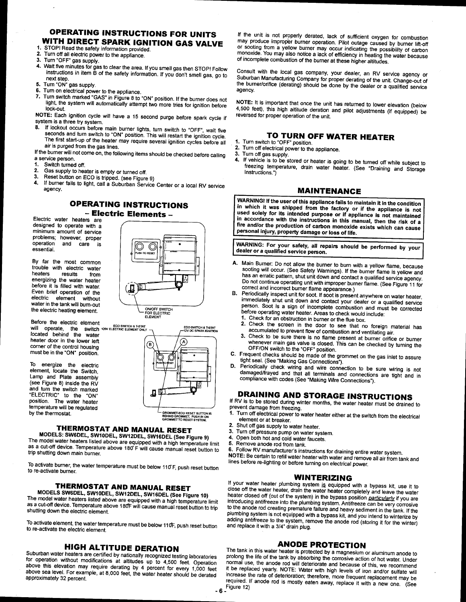# OPERATING INSTRUCTIONS FOR UNITS **WITH DIRECT SPARK IGNITION GAS VALVE**<br>1. STOP! Read the safety information provided.<br>2. Turn off all electric power to the essurings

- 
- 2. Turn off all electric power to the appliance.<br>3. Turn "OFF" gas supply
- 
- 3. Turn "OFF" gas supply.<br>4. Wait five minutes for gas to clear the area. If you smell gas then STOP! Follow instructions in item  $\tilde{B}$  of the safety information. If you don't smell gas, go to next step.<br>5. Turn "ON" gas supply
- 5. Turn "ON" gas supply.<br>6. Turn on electrical nows
- 
- Furtherman contracts the appliance.<br>Tum on electrical power to the appliance.<br>Turn switch marked "GAS" in Figure 8 to "ON" position. If the burner does not light, the system will automatically attempt two more tries for ignition before<br>lock-out.<br>NOTE: Each ignition cycle will have a 15 second purge before spark cycle if

System is a three try system.<br>
8. If lockout occurs before main burner lights, turn switch to "OFF", wait five<br>
seconds and turn switch to "ON" position. This will restart the ignition cycle.<br>
The first start-up of the hea

If the burner will not come on, the following items should be checked before calling<br>a service person.

- 
- 
- 
- 1. Switch turned off.<br>2. Gas supply to heater is empty or turned off.<br>3. Reset button on ECO is tripped. (see Figure 9)<br>4. lf bumer fails to light, call a Suburban Service Center or a local RV service agency.

# OPERATING INSTRUCTIONS - Electric Elements -

Electric water heaters are<br>designed to operate with a minimum amount of service problems; however, proper<br>operation and care is essential.

By far the most common trouble with electric water heaters results from energizing the waier heater before it is filled with water. Even brief operation of the<br>electric element without electric element without water in the tank will bum-out the electric heating element.

Before the electric element will operate, the switch reverence LEMENTON.<br>Incated behind the water corner of the control housing must be in the "ON" position.

To energize the electric element, locate the Switch, Lamp and Plate assembly (see Figure 8) inside the RV and turn the switch marked 'ELECTRIC" to the "ON" position. The water heater temperature will be regulated by the thermostat.





**THERMOSTAT AND MANUAL RESET**<br>MODELS: SW6DEL, SW10DEL, SW12DEL, SW16DEL (See Figure 9)<br>The model water heaters listed above are equipped with a high temperature limit<br>as a cut-off device. Temperature above 180<sup>°</sup>F will cau

To activate burner, the water temperature must be below 110 F, push reset button to re-activate burner.

**THERMOSTAT AND MANUAL RESET**<br>MODELS SW6DEL, SW10DEL, SW12DEL, SW16DEL (See Figure 10) MODELS SW6DEL, SW10DEL, SW12DEL, SW16DEL (See Figure 10)<br>The model water heaters listed above are equipped with a high temperature limit as a cut-off device. Temperature above 180F will cause manual reset button to trip shutting down the electric element.

To activate element, the water temperature must be below 110F, push reset button<br>to re-activate the electric element.

above this elevation may require derating by 4 percent for every 1,000 feet above sea level. For example, at 8,000 feet, the water heater should be derated

If the unit is not properly derated, lack of sufficient oxygen for combustion<br>may produce improper burner operation. Pilot outage caused by burner lift-off may produce improper burner operation. Pilot outage caused by burner lift-off<br>or sooting from a yellow burner may occur indicating the possibility of carbon<br>monoxide. You may also notice a lack of efficiency in heating the monoxide. You may also notice a lack of efficiency in heating the water because<br>of incomplete combustion of the burner at these higher altitudes.

Consult with the local gas company, your dealer, an RV service agency or Suburban Manufacturing Company for proper derating of the unit. Change-out of the burner/orifice (derating) should be done by the dealer or a qualifi agency.

NOTE: It is important that once the unit has returned to lower elevation (below 4,500 feet), this high altitude deration and pilot adjustments (if equipped) be reversed for proper operation of the unit.

# **TO TURN OFF WATER HEATER**<br>1. Turn switch to "OFF" position.<br>2. Turn off electrical power to the continues.

- 
- 2. Turn off electrical power to the appliance.<br>3. Turn off gas supply.
- 
- 4. If vehicle is to be stored or heater is going to be turned off while subject to freezing temperature, drain water heater. (See "Draining and Storage Instructions.")

#### MAINTENANCE

WARNING! If the user of this appliance fails to maintain it in the condition<br>in which it was shipped from the factory or if the appliance is not used solely for its intended purpose or if appliance is not maintained<br>in accordance with the instructions in this manual, then the risk of a fire and/or the production of carbon monoxide exists which can cause personal injury, property damage or loss of life.

WARNING: For your safety, all repairs should be performed by your dealer or a qualified service person.

A. Main Burner: Do not allow the burner to burn with a yellow flame, because sooting will occur. (See Safety Warnings). If the burner flame is yellow and

has an erratic pattern, shut unit down and contact a qualified service agency.<br>Do not continue operating unit with improper burner flame. (See Figure 11 for<br>correct and incorrect burner flame appearance.)<br>B. Periodically i

- 
- Check the screen in the door to see that no foreign material has accumulated to prevent flow of combustion and ventilating air.
- Check to be sure there is no flame present at burner orifice or burner whenever main gas valve is closed. This can be checked by turning the OFF/ON switch to the "OFF" position. OFF/ON switch to the "OFF" position.<br>C. Frequent checks should be made of the grommet on the gas intet to assure<br>tight seal. (See "Making Cee Granactics")
- tight seal. (See "Making Gas Connections").<br>D. Periodically check wiring and wire conne
- Periodically check wiring and wire connection to be sure wiring is not damaged/frayed and that all terminals and connections are tight and in compliance with codes (See "Making Wire Connections").

# DRAINING AND STORAGE INSTRUCTIONS If RV is to be stored during winter months, the water heater must be drained to

- prevent damage from freezing.<br>1. Turn off electrical power to water heater either at the switch from the electrical element or at breaker.
- 2. Shut off gas supply to water heater.<br>3. Turn off pressure nump on water sy
- 
- 
- 
- 3. Turn off pressure pump on water system.<br>4. Open both hot and cold water faucets.<br>5. Remove anode rod from tank.<br>6. Follow RV manufacturer's instructions for draining entire water system.

6. Follow RV manufacturer's instructions for draining entire water system.<br>NOTE: Be certain to refiil water heater with water and remove all air from tank and<br>lines before re-lighting or before turning on electrical power. lines before re-lighting or before turning on electrical power.

#### WINTERIZING

If your water heater plumbing system is equipped with a bypass kit, use it to<br>close off the water heater, drain the water heater completely and leave the water<br>heater closed off (out of the system) in the bypass position plumbing system is not equipped with a bypass kit, and you intend to winterize by<br>adding antifreeze to the system, remove the anode rod (storing it for the winter)<br>and replace it with a 3/4" drain plug.

HIGH ALTITUDE DERATION<br>Suburban water heaters are certified by nationally recognized testing laboratories protong the life of the tank by absorbing the corrosive action of hot water. Under<br>for operation without modificatio prolong the life of the tank by absorbing the corrosive action of hot water. Under normal use, the anode rod will deteriorate and because of this, we recommend<br>it be replaced yearly. NOTE: Water with high levels of iron and/or sulfate will above sea level. For example, at 8,000 feet, the water heater should be derated increase the rate of deterioration; therefore, more frequent replacement may be required. If anode rod is mostly eaten away, replace it with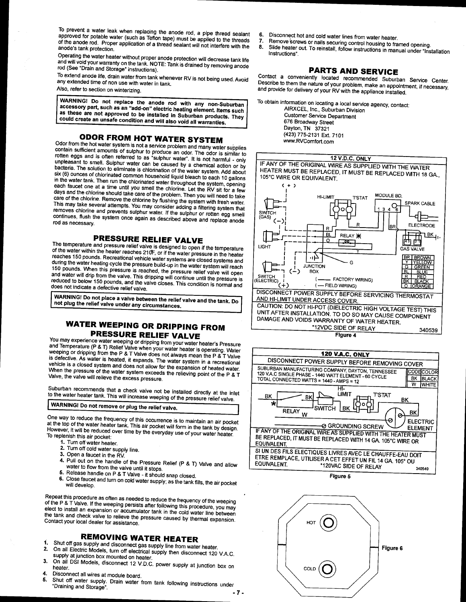To prevent a water leak when replacing the anode rod, a pipe thread sealant approved for potable water (such as Teflon tape) must be applied to the threads of the anode rod. Proper application of a thread sealant will not interfere with the anode's tank protection.

Operating the water heater without proper anode protection will decrease tank life and will void your warranty on the tank. NOTE: Tank is drained by removing anode rod (See "Drain and Storage" instructions).

To extend anode life, drain water from tank whenever RV is not being used. Avoid any extended time of non use with water in tank. Also, refer to section on winterizing.

WARNING! Do not replace the anode rod with any non-Suburban accessory part, such as an "add-on" electric heating element. Items such as these are not approved to be installed in Suburban products. They could create an unsafe condition and will also void all warranties.

## **ODOR FROM HOT WATER SYSTEM**

Odor from the hot water system is not a service problem and many water supplies contain sufficient amounts of sulphur to produce an odor. The odor is similar to rotten eggs and is often referred to as "sulphur water". It is not harmful - only unpleasant to smell. Sulphur water can be caused by a chemical action or by bacteria. The solution to eliminate is chlorination of the water system. Add about Six (6) ounces of chlorinated common household liquid bleach to each 10 gallons in the water tank. Then run the chlorinated water throughout the system, opening each faucet one at a time until you smell the chlorine. Let the RV sit for a few days and the chlorine should take care of the problem. Then you will need to take Care of the chlorine. Remove the chlorine by flushing the system with fresh water. This may take several attempts. You may consider adding a filtering system that removes chlorine and prevents sulphur water. If the sulphur or rotten egg smell continues, flush the system once again as described above and replace anode rod as necessary.

## PRESSURE RELIEF VALVE

The temperature and pressure relief valve is designed to open if the temperature of the water within the heater reaches 210F, or if the water pressure in the heater reaches 150 pounds. Recreational vehicle water systems are closed systems and during the water heating cycle the pressure build-up in the water system will reach 150 pounds. When this pressure is reached, the pressure relief valve will open and water will drip from the valve. This dripping will continue until the pressure is reduced to below 150 pounds, and the valve closes. This condition is normal and does not indicate a defective relief valve.

WARNING! Do not place a valve between the relief valve and the tank. Do not plug the relief valve under any circumstances.

# **WATER WEEPING OR DRIPPING FROM PRESSURE RELIEF VALVE**

You may experience water weeping or dripping from your water heater's Pressure and Temperature (P & T) Relief Valve when your water heater is operating. Water weeping or dripping from the P & T Valve does not always mean the P & T Valve is defective. As water is heated, it expands. The water system in a recreational vehicle is a closed system and does not allow for the expansion of heated water. When the pressure of the water system exceeds the relieving point of the P & T Valve, the valve will relieve the excess pressure.

Suburban recommends that a check valve not be installed directly at the inlet to the water heater tank. This will increase weeping of the pressure relief valve.

# WARNING! Do not remove or plug the relief valve.

One way to reduce the frequency of this occurrence is to maintain an air pocket at the top of the water heater tank. This air pocket will form in the tank by design. However, it will be reduced over time by the everyday use of your water heater. To replenish this air pocket:

- 1. Turn off water heater.
- 2. Turn off cold water supply line.
- 3. Open a faucet in the RV.
- 
- 4. Pull out on the handle of the Pressure Relief (P & T) Valve and allow water to flow from the valve until it stops. 5. Release handle on P & T Valve - it should snap closed.
- 
- 6. Close faucet and turn on cold water supply; as the tank fills, the air pocket will develop.

Repeat this procedure as often as needed to reduce the frequency of the weeping of the P & T Valve. If the weeping persists after following this procedure, you may elect to install an expansion or accumulator tank in the cold water line between the tank and check valve to relieve the pressure caused by thermal expansion. Contact your local dealer for assistance.

# **REMOVING WATER HEATER**

- Shut off gas supply and disconnect gas supply line from water heater. 1.  $2.$
- On all Electric Models, turn off electrical supply then disconnect 120 V.A.C. supply at junction box mounted on heater.
- On all DSI Models, disconnect 12 V.D.C. power supply at junction box on 3.
- Disconnect all wires at module board.
- Shotchitest on these at the same search.<br>Shut off water supply. Drain water from tank following instructions under 5. "Draining and Storage".  $-7-$
- 6. Disconnect hot and cold water lines from water heater.
- Remove screws or nails securing control housing to framed opening. 7. 8.
- Slide heater out. To reinstall, follow instructions in manual under "Installation" Instructions"

# **PARTS AND SERVICE**

Contact a conveniently located recommended Suburban Service Center. Describe to them the nature of your problem, make an appointment, if necessary, and provide for delivery of your RV with the appliance installed

To obtain information on locating a local service agency, contact:

AIRXCEL, Inc., Suburban Division **Customer Service Department** 676 Broadway Street Dayton, TN 37321 (423) 775-2131 Ext. 7101 www.RVComfort.com